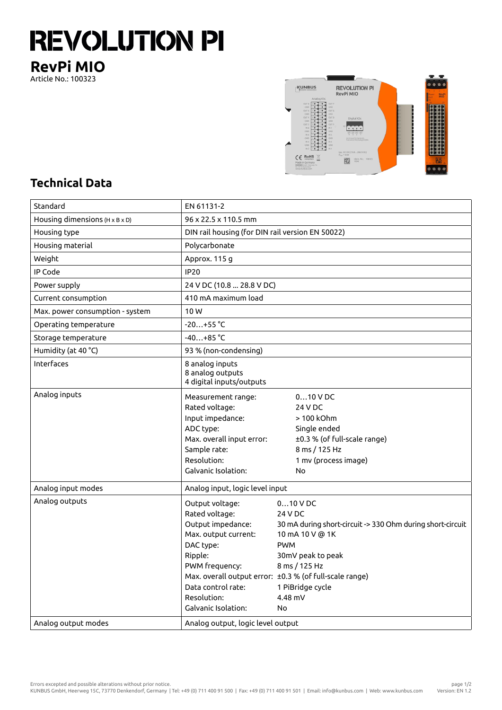## **REVOLUTION PI**

**RevPi MIO** Article No.: 100323



## **Technical Data**

| Standard                                     | EN 61131-2                                                                                                                                                                           |                                                                                                                                                                                                                                                            |  |
|----------------------------------------------|--------------------------------------------------------------------------------------------------------------------------------------------------------------------------------------|------------------------------------------------------------------------------------------------------------------------------------------------------------------------------------------------------------------------------------------------------------|--|
| Housing dimensions ( $H \times B \times D$ ) | 96 x 22.5 x 110.5 mm                                                                                                                                                                 |                                                                                                                                                                                                                                                            |  |
| Housing type                                 | DIN rail housing (for DIN rail version EN 50022)                                                                                                                                     |                                                                                                                                                                                                                                                            |  |
| Housing material                             | Polycarbonate                                                                                                                                                                        |                                                                                                                                                                                                                                                            |  |
| Weight                                       | Approx. 115 g                                                                                                                                                                        |                                                                                                                                                                                                                                                            |  |
| IP Code                                      | <b>IP20</b>                                                                                                                                                                          |                                                                                                                                                                                                                                                            |  |
| Power supply                                 | 24 V DC (10.8  28.8 V DC)                                                                                                                                                            |                                                                                                                                                                                                                                                            |  |
| Current consumption                          | 410 mA maximum load                                                                                                                                                                  |                                                                                                                                                                                                                                                            |  |
| Max. power consumption - system              | 10W                                                                                                                                                                                  |                                                                                                                                                                                                                                                            |  |
| Operating temperature                        | $-20+55$ °C                                                                                                                                                                          |                                                                                                                                                                                                                                                            |  |
| Storage temperature                          | $-40+85 °C$                                                                                                                                                                          |                                                                                                                                                                                                                                                            |  |
| Humidity (at 40 °C)                          | 93 % (non-condensing)                                                                                                                                                                |                                                                                                                                                                                                                                                            |  |
| Interfaces                                   | 8 analog inputs<br>8 analog outputs<br>4 digital inputs/outputs                                                                                                                      |                                                                                                                                                                                                                                                            |  |
| Analog inputs                                | Measurement range:<br>Rated voltage:<br>Input impedance:<br>ADC type:<br>Max. overall input error:<br>Sample rate:<br>Resolution:<br>Galvanic Isolation:                             | $010$ V DC<br>24 V DC<br>> 100 kOhm<br>Single ended<br>±0.3 % (of full-scale range)<br>8 ms / 125 Hz<br>1 mv (process image)<br>No                                                                                                                         |  |
| Analog input modes                           | Analog input, logic level input                                                                                                                                                      |                                                                                                                                                                                                                                                            |  |
| Analog outputs                               | Output voltage:<br>Rated voltage:<br>Output impedance:<br>Max. output current:<br>DAC type:<br>Ripple:<br>PWM frequency:<br>Data control rate:<br>Resolution:<br>Galvanic Isolation: | $010$ V DC<br>24 V DC<br>30 mA during short-circuit -> 330 Ohm during short-circuit<br>10 mA 10 V @ 1K<br><b>PWM</b><br>30mV peak to peak<br>8 ms / 125 Hz<br>Max. overall output error: ±0.3 % (of full-scale range)<br>1 PiBridge cycle<br>4.48 mV<br>No |  |
| Analog output modes                          | Analog output, logic level output                                                                                                                                                    |                                                                                                                                                                                                                                                            |  |